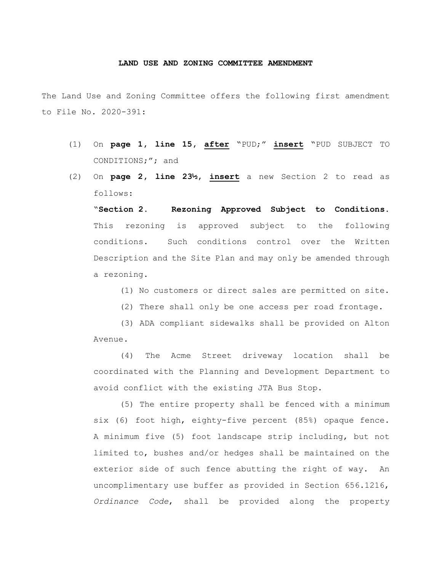## **LAND USE AND ZONING COMMITTEE AMENDMENT**

The Land Use and Zoning Committee offers the following first amendment to File No. 2020-391:

- (1) On **page 1, line 15, after** "PUD;" **insert** "PUD SUBJECT TO CONDITIONS;"; and
- (2) On **page 2, line 23½, insert** a new Section 2 to read as follows:

"**Section 2. Rezoning Approved Subject to Conditions.** This rezoning is approved subject to the following conditions. Such conditions control over the Written Description and the Site Plan and may only be amended through a rezoning.

- (1) No customers or direct sales are permitted on site.
- (2) There shall only be one access per road frontage.

(3) ADA compliant sidewalks shall be provided on Alton Avenue.

(4) The Acme Street driveway location shall be coordinated with the Planning and Development Department to avoid conflict with the existing JTA Bus Stop.

(5) The entire property shall be fenced with a minimum six (6) foot high, eighty-five percent (85%) opaque fence. A minimum five (5) foot landscape strip including, but not limited to, bushes and/or hedges shall be maintained on the exterior side of such fence abutting the right of way. An uncomplimentary use buffer as provided in Section 656.1216, *Ordinance Code*, shall be provided along the property